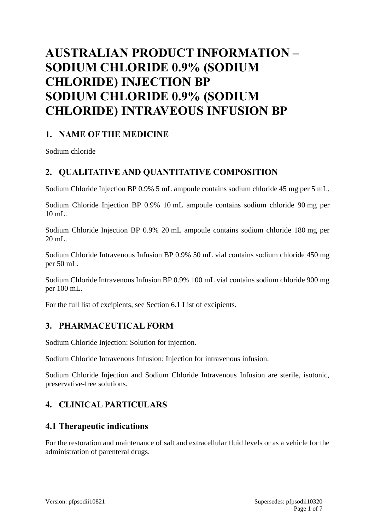# **AUSTRALIAN PRODUCT INFORMATION – SODIUM CHLORIDE 0.9% (SODIUM CHLORIDE) INJECTION BP SODIUM CHLORIDE 0.9% (SODIUM CHLORIDE) INTRAVEOUS INFUSION BP**

### **1. NAME OF THE MEDICINE**

Sodium chloride

# **2. QUALITATIVE AND QUANTITATIVE COMPOSITION**

Sodium Chloride Injection BP 0.9% 5 mL ampoule contains sodium chloride 45 mg per 5 mL.

Sodium Chloride Injection BP 0.9% 10 mL ampoule contains sodium chloride 90 mg per 10 mL.

Sodium Chloride Injection BP 0.9% 20 mL ampoule contains sodium chloride 180 mg per 20 mL.

Sodium Chloride Intravenous Infusion BP 0.9% 50 mL vial contains sodium chloride 450 mg per 50 mL.

Sodium Chloride Intravenous Infusion BP 0.9% 100 mL vial contains sodium chloride 900 mg per 100 mL.

For the full list of excipients, see Section 6.1 List of excipients.

# **3. PHARMACEUTICAL FORM**

Sodium Chloride Injection: Solution for injection.

Sodium Chloride Intravenous Infusion: Injection for intravenous infusion.

Sodium Chloride Injection and Sodium Chloride Intravenous Infusion are sterile, isotonic, preservative-free solutions.

# **4. CLINICAL PARTICULARS**

### **4.1 Therapeutic indications**

For the restoration and maintenance of salt and extracellular fluid levels or as a vehicle for the administration of parenteral drugs.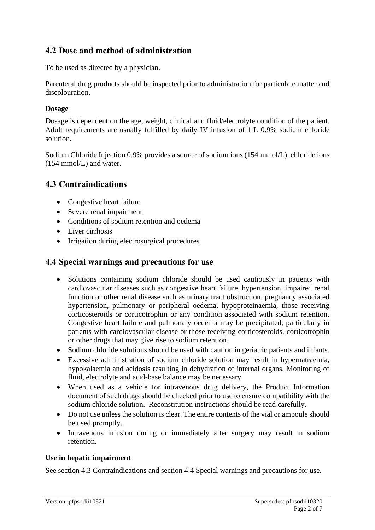# **4.2 Dose and method of administration**

To be used as directed by a physician.

Parenteral drug products should be inspected prior to administration for particulate matter and discolouration.

#### **Dosage**

Dosage is dependent on the age, weight, clinical and fluid/electrolyte condition of the patient. Adult requirements are usually fulfilled by daily IV infusion of 1 L 0.9% sodium chloride solution.

Sodium Chloride Injection 0.9% provides a source of sodium ions (154 mmol/L), chloride ions (154 mmol/L) and water.

### **4.3 Contraindications**

- Congestive heart failure
- Severe renal impairment
- Conditions of sodium retention and oedema
- Liver cirrhosis
- Irrigation during electrosurgical procedures

### **4.4 Special warnings and precautions for use**

- Solutions containing sodium chloride should be used cautiously in patients with cardiovascular diseases such as congestive heart failure, hypertension, impaired renal function or other renal disease such as urinary tract obstruction, pregnancy associated hypertension, pulmonary or peripheral oedema, hypoproteinaemia, those receiving corticosteroids or corticotrophin or any condition associated with sodium retention. Congestive heart failure and pulmonary oedema may be precipitated, particularly in patients with cardiovascular disease or those receiving corticosteroids, corticotrophin or other drugs that may give rise to sodium retention.
- Sodium chloride solutions should be used with caution in geriatric patients and infants.
- Excessive administration of sodium chloride solution may result in hypernatraemia, hypokalaemia and acidosis resulting in dehydration of internal organs. Monitoring of fluid, electrolyte and acid-base balance may be necessary.
- When used as a vehicle for intravenous drug delivery, the Product Information document of such drugs should be checked prior to use to ensure compatibility with the sodium chloride solution. Reconstitution instructions should be read carefully.
- Do not use unless the solution is clear. The entire contents of the vial or ampoule should be used promptly.
- Intravenous infusion during or immediately after surgery may result in sodium retention.

#### **Use in hepatic impairment**

See section 4.3 Contraindications and section 4.4 Special warnings and precautions for use.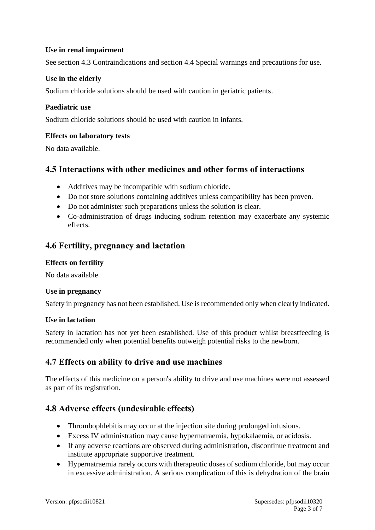#### **Use in renal impairment**

See section 4.3 Contraindications and section 4.4 Special warnings and precautions for use.

#### **Use in the elderly**

Sodium chloride solutions should be used with caution in geriatric patients.

#### **Paediatric use**

Sodium chloride solutions should be used with caution in infants.

#### **Effects on laboratory tests**

No data available.

### **4.5 Interactions with other medicines and other forms of interactions**

- Additives may be incompatible with sodium chloride.
- Do not store solutions containing additives unless compatibility has been proven.
- Do not administer such preparations unless the solution is clear.
- Co-administration of drugs inducing sodium retention may exacerbate any systemic effects.

### **4.6 Fertility, pregnancy and lactation**

#### **Effects on fertility**

No data available.

#### **Use in pregnancy**

Safety in pregnancy has not been established. Use is recommended only when clearly indicated.

#### **Use in lactation**

Safety in lactation has not yet been established. Use of this product whilst breastfeeding is recommended only when potential benefits outweigh potential risks to the newborn.

### **4.7 Effects on ability to drive and use machines**

The effects of this medicine on a person's ability to drive and use machines were not assessed as part of its registration.

### **4.8 Adverse effects (undesirable effects)**

- Thrombophlebitis may occur at the injection site during prolonged infusions.
- Excess IV administration may cause hypernatraemia, hypokalaemia, or acidosis.
- If any adverse reactions are observed during administration, discontinue treatment and institute appropriate supportive treatment.
- Hypernatraemia rarely occurs with therapeutic doses of sodium chloride, but may occur in excessive administration. A serious complication of this is dehydration of the brain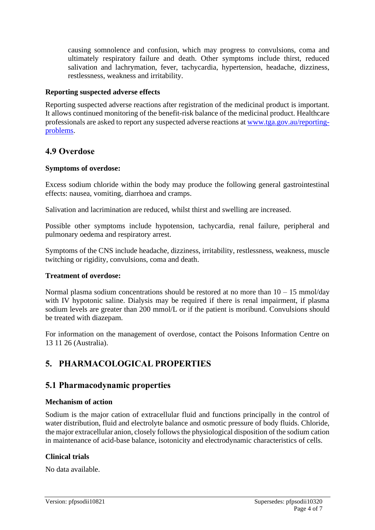causing somnolence and confusion, which may progress to convulsions, coma and ultimately respiratory failure and death. Other symptoms include thirst, reduced salivation and lachrymation, fever, tachycardia, hypertension, headache, dizziness, restlessness, weakness and irritability.

#### **Reporting suspected adverse effects**

Reporting suspected adverse reactions after registration of the medicinal product is important. It allows continued monitoring of the benefit-risk balance of the medicinal product. Healthcare professionals are asked to report any suspected adverse reactions at [www.tga.gov.au/reporting](http://www.tga.gov.au/reporting-problems)[problems.](http://www.tga.gov.au/reporting-problems)

### **4.9 Overdose**

#### **Symptoms of overdose:**

Excess sodium chloride within the body may produce the following general gastrointestinal effects: nausea, vomiting, diarrhoea and cramps.

Salivation and lacrimination are reduced, whilst thirst and swelling are increased.

Possible other symptoms include hypotension, tachycardia, renal failure, peripheral and pulmonary oedema and respiratory arrest.

Symptoms of the CNS include headache, dizziness, irritability, restlessness, weakness, muscle twitching or rigidity, convulsions, coma and death.

#### **Treatment of overdose:**

Normal plasma sodium concentrations should be restored at no more than  $10 - 15$  mmol/day with IV hypotonic saline. Dialysis may be required if there is renal impairment, if plasma sodium levels are greater than 200 mmol/L or if the patient is moribund. Convulsions should be treated with diazepam.

For information on the management of overdose, contact the Poisons Information Centre on 13 11 26 (Australia).

# **5. PHARMACOLOGICAL PROPERTIES**

#### **5.1 Pharmacodynamic properties**

#### **Mechanism of action**

Sodium is the major cation of extracellular fluid and functions principally in the control of water distribution, fluid and electrolyte balance and osmotic pressure of body fluids. Chloride, the major extracellular anion, closely follows the physiological disposition of the sodium cation in maintenance of acid-base balance, isotonicity and electrodynamic characteristics of cells.

#### **Clinical trials**

No data available.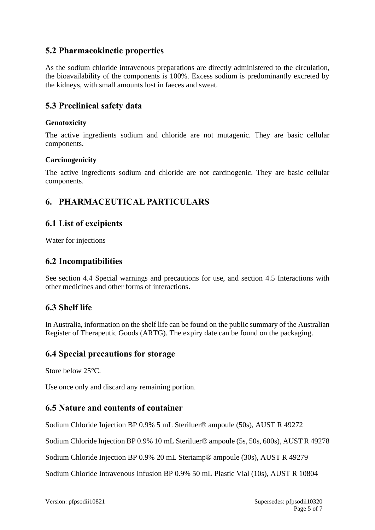# **5.2 Pharmacokinetic properties**

As the sodium chloride intravenous preparations are directly administered to the circulation, the bioavailability of the components is 100%. Excess sodium is predominantly excreted by the kidneys, with small amounts lost in faeces and sweat.

### **5.3 Preclinical safety data**

#### **Genotoxicity**

The active ingredients sodium and chloride are not mutagenic. They are basic cellular components.

#### **Carcinogenicity**

The active ingredients sodium and chloride are not carcinogenic. They are basic cellular components.

# **6. PHARMACEUTICAL PARTICULARS**

### **6.1 List of excipients**

Water for injections

### **6.2 Incompatibilities**

See section 4.4 Special warnings and precautions for use, and section 4.5 Interactions with other medicines and other forms of interactions.

# **6.3 Shelf life**

In Australia, information on the shelf life can be found on the public summary of the Australian Register of Therapeutic Goods (ARTG). The expiry date can be found on the packaging.

### **6.4 Special precautions for storage**

Store below 25°C.

Use once only and discard any remaining portion.

# **6.5 Nature and contents of container**

Sodium Chloride Injection BP 0.9% 5 mL Steriluer® ampoule (50s), AUST R 49272

Sodium Chloride Injection BP 0.9% 10 mL Steriluer® ampoule (5s, 50s, 600s), AUST R 49278

Sodium Chloride Injection BP 0.9% 20 mL Steriamp® ampoule (30s), AUST R 49279

Sodium Chloride Intravenous Infusion BP 0.9% 50 mL Plastic Vial (10s), AUST R 10804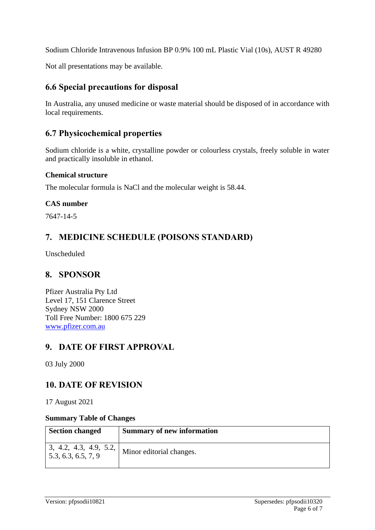Sodium Chloride Intravenous Infusion BP 0.9% 100 mL Plastic Vial (10s), AUST R 49280

Not all presentations may be available.

### **6.6 Special precautions for disposal**

In Australia, any unused medicine or waste material should be disposed of in accordance with local requirements.

### **6.7 Physicochemical properties**

Sodium chloride is a white, crystalline powder or colourless crystals, freely soluble in water and practically insoluble in ethanol.

#### **Chemical structure**

The molecular formula is NaCl and the molecular weight is 58.44.

#### **CAS number**

7647-14-5

# **7. MEDICINE SCHEDULE (POISONS STANDARD)**

Unscheduled

### **8. SPONSOR**

Pfizer Australia Pty Ltd Level 17, 151 Clarence Street Sydney NSW 2000 Toll Free Number: 1800 675 229 [www.pfizer.com.au](http://www.pfizer.com.au/)

# **9. DATE OF FIRST APPROVAL**

03 July 2000

### **10. DATE OF REVISION**

17 August 2021

#### **Summary Table of Changes**

| <b>Section changed</b>                                 | <b>Summary of new information</b> |
|--------------------------------------------------------|-----------------------------------|
| 1, 3, 4.2, 4.3, 4.9, 5.2,<br>1, 5, 3, 6, 3, 6, 5, 7, 9 | Minor editorial changes.          |